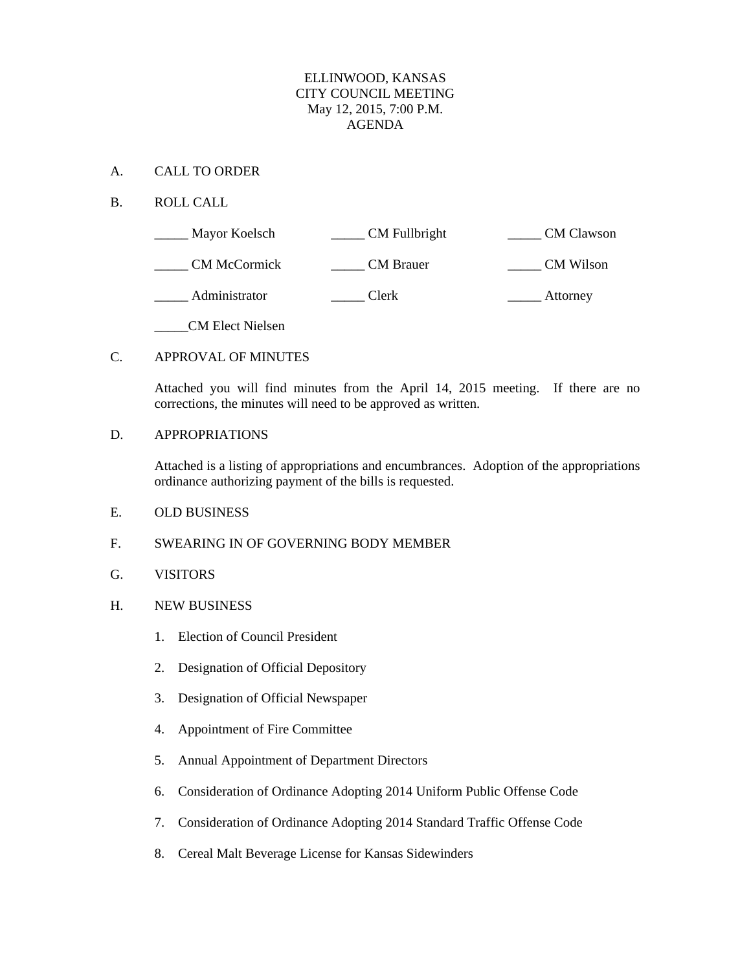## ELLINWOOD, KANSAS CITY COUNCIL MEETING May 12, 2015, 7:00 P.M. AGENDA

### A. CALL TO ORDER

## B. ROLL CALL

| Mayor Koelsch           | CM Fullbright    | <b>CM</b> Clawson |
|-------------------------|------------------|-------------------|
| <b>CM McCormick</b>     | <b>CM</b> Brauer | <b>CM</b> Wilson  |
| Administrator           | Clerk            | Attorney          |
| <b>CM Elect Nielsen</b> |                  |                   |

## C. APPROVAL OF MINUTES

Attached you will find minutes from the April 14, 2015 meeting. If there are no corrections, the minutes will need to be approved as written.

#### D. APPROPRIATIONS

Attached is a listing of appropriations and encumbrances. Adoption of the appropriations ordinance authorizing payment of the bills is requested.

## E. OLD BUSINESS

## F. SWEARING IN OF GOVERNING BODY MEMBER

- G. VISITORS
- H. NEW BUSINESS
	- 1. Election of Council President
	- 2. Designation of Official Depository
	- 3. Designation of Official Newspaper
	- 4. Appointment of Fire Committee
	- 5. Annual Appointment of Department Directors
	- 6. Consideration of Ordinance Adopting 2014 Uniform Public Offense Code
	- 7. Consideration of Ordinance Adopting 2014 Standard Traffic Offense Code
	- 8. Cereal Malt Beverage License for Kansas Sidewinders